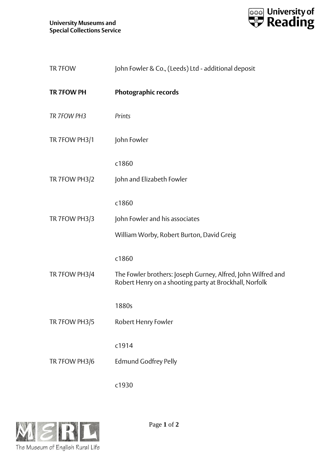

| TR 7FOW           | John Fowler & Co., (Leeds) Ltd - additional deposit                                                                    |
|-------------------|------------------------------------------------------------------------------------------------------------------------|
| <b>TR 7FOW PH</b> | <b>Photographic records</b>                                                                                            |
| TR 7FOW PH3       | Prints                                                                                                                 |
| TR 7FOW PH3/1     | John Fowler                                                                                                            |
|                   | c1860                                                                                                                  |
| TR 7FOW PH3/2     | John and Elizabeth Fowler                                                                                              |
|                   | c1860                                                                                                                  |
| TR 7FOW PH3/3     | John Fowler and his associates                                                                                         |
|                   | William Worby, Robert Burton, David Greig                                                                              |
|                   | c1860                                                                                                                  |
| TR 7FOW PH3/4     | The Fowler brothers: Joseph Gurney, Alfred, John Wilfred and<br>Robert Henry on a shooting party at Brockhall, Norfolk |
|                   | 1880s                                                                                                                  |
| TR 7FOW PH3/5     | Robert Henry Fowler                                                                                                    |
|                   | c1914                                                                                                                  |
| TR 7FOW PH3/6     | <b>Edmund Godfrey Pelly</b>                                                                                            |
|                   | c1930                                                                                                                  |